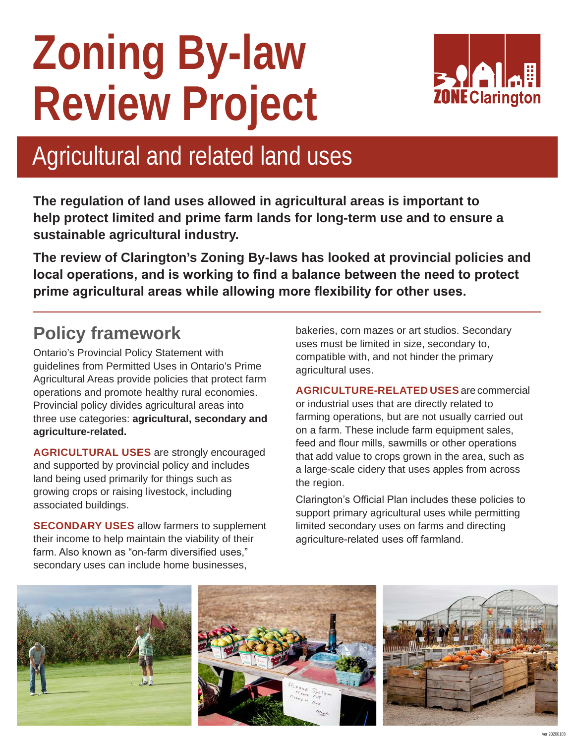# **Zoning By-law Review Project**



## Agricultural and related land uses

**The regulation of land uses allowed in agricultural areas is important to help protect limited and prime farm lands for long-term use and to ensure a sustainable agricultural industry.**

**The review of Clarington's Zoning By-laws has looked at provincial policies and local operations, and is working to find a balance between the need to protect prime agricultural areas while allowing more flexibility for other uses.**

## **Policy framework**

Ontario's Provincial Policy Statement with guidelines from Permitted Uses in Ontario's Prime Agricultural Areas provide policies that protect farm operations and promote healthy rural economies. Provincial policy divides agricultural areas into three use categories: **agricultural, secondary and agriculture-related.**

**AGRICULTURAL USES** are strongly encouraged and supported by provincial policy and includes land being used primarily for things such as growing crops or raising livestock, including associated buildings.

**SECONDARY USES** allow farmers to supplement their income to help maintain the viability of their farm. Also known as "on-farm diversified uses," secondary uses can include home businesses,

bakeries, corn mazes or art studios. Secondary uses must be limited in size, secondary to, compatible with, and not hinder the primary agricultural uses.

**AGRICULTURE-RELATED USES** are commercial or industrial uses that are directly related to farming operations, but are not usually carried out on a farm. These include farm equipment sales, feed and flour mills, sawmills or other operations that add value to crops grown in the area, such as a large-scale cidery that uses apples from across the region.

Clarington's Official Plan includes these policies to support primary agricultural uses while permitting limited secondary uses on farms and directing agriculture-related uses off farmland.

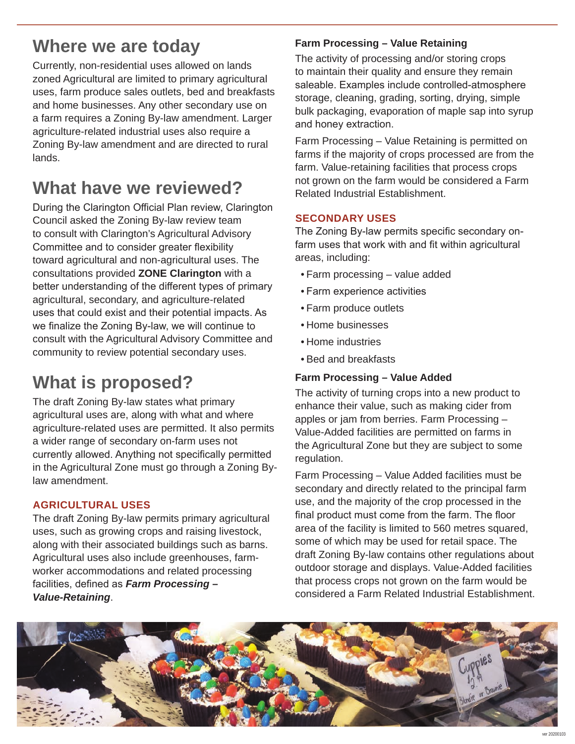## **Where we are today**

Currently, non-residential uses allowed on lands zoned Agricultural are limited to primary agricultural uses, farm produce sales outlets, bed and breakfasts and home businesses. Any other secondary use on a farm requires a Zoning By-law amendment. Larger agriculture-related industrial uses also require a Zoning By-law amendment and are directed to rural lands.

## **What have we reviewed?**

During the Clarington Official Plan review, Clarington Council asked the Zoning By-law review team to consult with Clarington's Agricultural Advisory Committee and to consider greater flexibility toward agricultural and non-agricultural uses. The consultations provided **ZONE Clarington** with a better understanding of the different types of primary agricultural, secondary, and agriculture-related uses that could exist and their potential impacts. As we finalize the Zoning By-law, we will continue to consult with the Agricultural Advisory Committee and community to review potential secondary uses.

## **What is proposed?**

The draft Zoning By-law states what primary agricultural uses are, along with what and where agriculture-related uses are permitted. It also permits a wider range of secondary on-farm uses not currently allowed. Anything not specifically permitted in the Agricultural Zone must go through a Zoning Bylaw amendment.

#### **AGRICULTURAL USES**

The draft Zoning By-law permits primary agricultural uses, such as growing crops and raising livestock, along with their associated buildings such as barns. Agricultural uses also include greenhouses, farmworker accommodations and related processing facilities, defined as *Farm Processing* **–** *Value-Retaining*.

#### **Farm Processing – Value Retaining**

The activity of processing and/or storing crops to maintain their quality and ensure they remain saleable. Examples include controlled-atmosphere storage, cleaning, grading, sorting, drying, simple bulk packaging, evaporation of maple sap into syrup and honey extraction.

Farm Processing – Value Retaining is permitted on farms if the majority of crops processed are from the farm. Value-retaining facilities that process crops not grown on the farm would be considered a Farm Related Industrial Establishment.

#### **SECONDARY USES**

The Zoning By-law permits specific secondary onfarm uses that work with and fit within agricultural areas, including:

- Farm processing value added
- Farm experience activities
- Farm produce outlets
- Home businesses
- Home industries
- Bed and breakfasts

#### **Farm Processing – Value Added**

The activity of turning crops into a new product to enhance their value, such as making cider from apples or jam from berries. Farm Processing – Value-Added facilities are permitted on farms in the Agricultural Zone but they are subject to some regulation.

Farm Processing – Value Added facilities must be secondary and directly related to the principal farm use, and the majority of the crop processed in the final product must come from the farm. The floor area of the facility is limited to 560 metres squared, some of which may be used for retail space. The draft Zoning By-law contains other regulations about outdoor storage and displays. Value-Added facilities that process crops not grown on the farm would be considered a Farm Related Industrial Establishment.

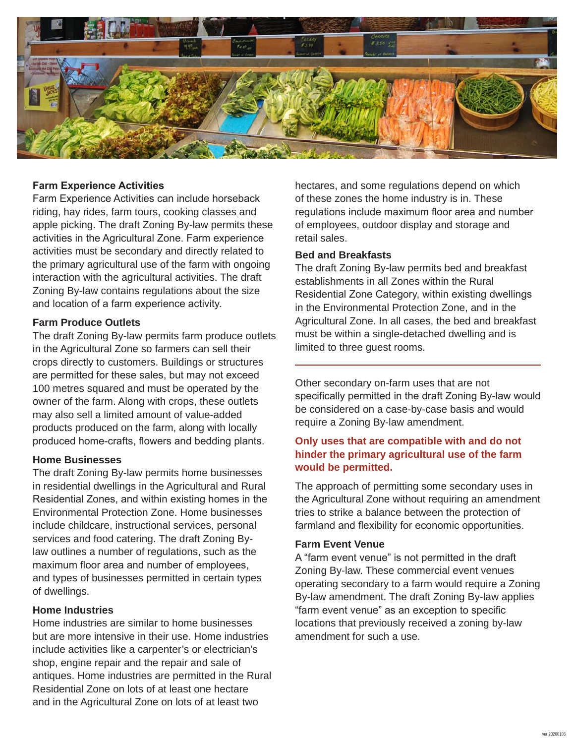

#### **Farm Experience Activities**

Farm Experience Activities can include horseback riding, hay rides, farm tours, cooking classes and apple picking. The draft Zoning By-law permits these activities in the Agricultural Zone. Farm experience activities must be secondary and directly related to the primary agricultural use of the farm with ongoing interaction with the agricultural activities. The draft Zoning By-law contains regulations about the size and location of a farm experience activity.

#### **Farm Produce Outlets**

The draft Zoning By-law permits farm produce outlets in the Agricultural Zone so farmers can sell their crops directly to customers. Buildings or structures are permitted for these sales, but may not exceed 100 metres squared and must be operated by the owner of the farm. Along with crops, these outlets may also sell a limited amount of value-added products produced on the farm, along with locally produced home-crafts, flowers and bedding plants.

#### **Home Businesses**

The draft Zoning By-law permits home businesses in residential dwellings in the Agricultural and Rural Residential Zones, and within existing homes in the Environmental Protection Zone. Home businesses include childcare, instructional services, personal services and food catering. The draft Zoning Bylaw outlines a number of regulations, such as the maximum floor area and number of employees, and types of businesses permitted in certain types of dwellings.

#### **Home Industries**

Home industries are similar to home businesses but are more intensive in their use. Home industries include activities like a carpenter's or electrician's shop, engine repair and the repair and sale of antiques. Home industries are permitted in the Rural Residential Zone on lots of at least one hectare and in the Agricultural Zone on lots of at least two

hectares, and some regulations depend on which of these zones the home industry is in. These regulations include maximum floor area and number of employees, outdoor display and storage and retail sales.

#### **Bed and Breakfasts**

The draft Zoning By-law permits bed and breakfast establishments in all Zones within the Rural Residential Zone Category, within existing dwellings in the Environmental Protection Zone, and in the Agricultural Zone. In all cases, the bed and breakfast must be within a single-detached dwelling and is limited to three guest rooms.

Other secondary on-farm uses that are not specifically permitted in the draft Zoning By-law would be considered on a case-by-case basis and would require a Zoning By-law amendment.

#### **Only uses that are compatible with and do not hinder the primary agricultural use of the farm would be permitted.**

The approach of permitting some secondary uses in the Agricultural Zone without requiring an amendment tries to strike a balance between the protection of farmland and flexibility for economic opportunities.

#### **Farm Event Venue**

A "farm event venue" is not permitted in the draft Zoning By-law. These commercial event venues operating secondary to a farm would require a Zoning By-law amendment. The draft Zoning By-law applies "farm event venue" as an exception to specific locations that previously received a zoning by-law amendment for such a use.